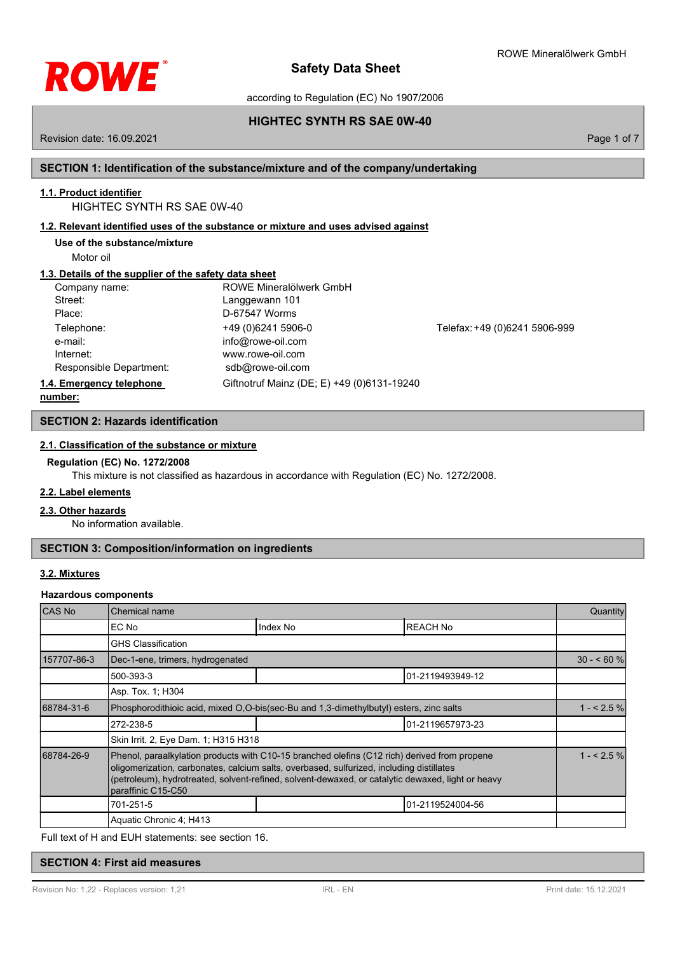

according to Regulation (EC) No 1907/2006

# **HIGHTEC SYNTH RS SAE 0W-40**

Revision date: 16.09.2021 **Page 1 of 7** and 7 and 7 and 7 and 7 and 7 and 7 and 7 and 7 and 7 and 7 and 7 and 7 and 7 and 7 and 7 and 7 and 7 and 7 and 7 and 7 and 7 and 7 and 7 and 7 and 7 and 7 and 7 and 7 and 7 and 7 an

# **SECTION 1: Identification of the substance/mixture and of the company/undertaking**

# **1.1. Product identifier**

HIGHTEC SYNTH RS SAE 0W-40

# **1.2. Relevant identified uses of the substance or mixture and uses advised against**

**Use of the substance/mixture**

Motor oil

# **1.3. Details of the supplier of the safety data sheet**

| Company name:            | ROWE Mineralölwerk GmbH                    |                               |
|--------------------------|--------------------------------------------|-------------------------------|
| Street:                  | Langgewann 101                             |                               |
| Place:                   | D-67547 Worms                              |                               |
| Telephone:               | +49 (0) 6241 5906-0                        | Telefax: +49 (0)6241 5906-999 |
| e-mail:                  | info@rowe-oil.com                          |                               |
| Internet:                | www.rowe-oil.com                           |                               |
| Responsible Department:  | sdb@rowe-oil.com                           |                               |
| 1.4. Emergency telephone | Giftnotruf Mainz (DE; E) +49 (0)6131-19240 |                               |
| numhar:                  |                                            |                               |

**number:**

# **SECTION 2: Hazards identification**

# **2.1. Classification of the substance or mixture**

### **Regulation (EC) No. 1272/2008**

This mixture is not classified as hazardous in accordance with Regulation (EC) No. 1272/2008.

## **2.2. Label elements**

### **2.3. Other hazards**

No information available.

# **SECTION 3: Composition/information on ingredients**

### **3.2. Mixtures**

### **Hazardous components**

| <b>CAS No</b> | Chemical name                                                                                                                                                                                                                                                                                                       |          |                  | Quantity   |
|---------------|---------------------------------------------------------------------------------------------------------------------------------------------------------------------------------------------------------------------------------------------------------------------------------------------------------------------|----------|------------------|------------|
|               | EC No                                                                                                                                                                                                                                                                                                               | Index No | <b>REACH No</b>  |            |
|               | <b>GHS Classification</b>                                                                                                                                                                                                                                                                                           |          |                  |            |
| 157707-86-3   | Dec-1-ene, trimers, hydrogenated                                                                                                                                                                                                                                                                                    |          | $30 - 60$ %      |            |
|               | 500-393-3                                                                                                                                                                                                                                                                                                           |          | 01-2119493949-12 |            |
|               | Asp. Tox. 1; H304                                                                                                                                                                                                                                                                                                   |          |                  |            |
| 68784-31-6    | Phosphorodithioic acid, mixed O.O-bis(sec-Bu and 1.3-dimethylbutyl) esters, zinc salts                                                                                                                                                                                                                              |          | $1 - 2.5%$       |            |
|               | 272-238-5                                                                                                                                                                                                                                                                                                           |          | 01-2119657973-23 |            |
|               | Skin Irrit. 2, Eye Dam. 1; H315 H318                                                                                                                                                                                                                                                                                |          |                  |            |
| 68784-26-9    | Phenol, paraalkylation products with C10-15 branched olefins (C12 rich) derived from propene<br>oligomerization, carbonates, calcium salts, overbased, sulfurized, including distillates<br>(petroleum), hydrotreated, solvent-refined, solvent-dewaxed, or catalytic dewaxed, light or heavy<br>paraffinic C15-C50 |          |                  | $1 - 2.5%$ |
|               | 701-251-5                                                                                                                                                                                                                                                                                                           |          | 01-2119524004-56 |            |
|               | Aquatic Chronic 4; H413                                                                                                                                                                                                                                                                                             |          |                  |            |

Full text of H and EUH statements: see section 16.

# **SECTION 4: First aid measures**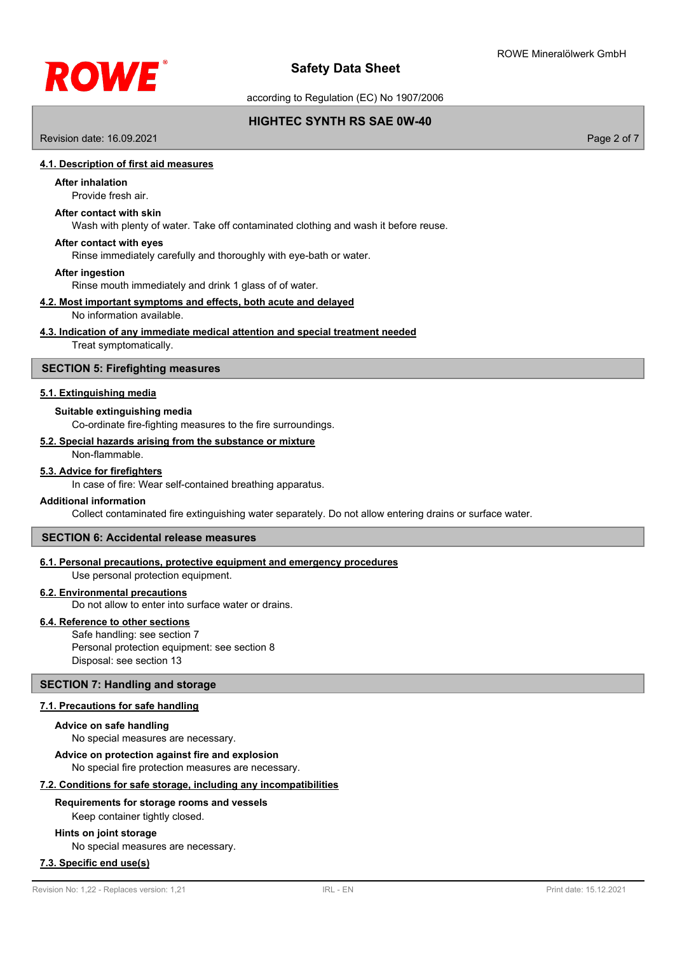

according to Regulation (EC) No 1907/2006

# **HIGHTEC SYNTH RS SAE 0W-40**

Revision date: 16.09.2021 **Page 2 of 7** and 7 and 7 and 7 and 7 and 7 and 7 and 7 and 7 and 7 and 7 and 7 and 7 and 7 and 7 and 7 and 7 and 7 and 7 and 7 and 7 and 7 and 7 and 7 and 7 and 7 and 7 and 7 and 7 and 7 and 7 an

### **4.1. Description of first aid measures**

# **After inhalation**

# Provide fresh air.

### **After contact with skin**

Wash with plenty of water. Take off contaminated clothing and wash it before reuse.

### **After contact with eyes**

Rinse immediately carefully and thoroughly with eye-bath or water.

#### **After ingestion**

Rinse mouth immediately and drink 1 glass of of water.

### **4.2. Most important symptoms and effects, both acute and delayed**

#### No information available.

### **4.3. Indication of any immediate medical attention and special treatment needed**

Treat symptomatically.

# **SECTION 5: Firefighting measures**

### **5.1. Extinguishing media**

### **Suitable extinguishing media**

Co-ordinate fire-fighting measures to the fire surroundings.

### **5.2. Special hazards arising from the substance or mixture**

# Non-flammable.

## **5.3. Advice for firefighters**

In case of fire: Wear self-contained breathing apparatus.

### **Additional information**

Collect contaminated fire extinguishing water separately. Do not allow entering drains or surface water.

# **SECTION 6: Accidental release measures**

# **6.1. Personal precautions, protective equipment and emergency procedures**

Use personal protection equipment.

# **6.2. Environmental precautions**

Do not allow to enter into surface water or drains.

### **6.4. Reference to other sections**

Safe handling: see section 7 Personal protection equipment: see section 8 Disposal: see section 13

### **SECTION 7: Handling and storage**

### **7.1. Precautions for safe handling**

#### **Advice on safe handling**

No special measures are necessary.

# **Advice on protection against fire and explosion**

No special fire protection measures are necessary.

### **7.2. Conditions for safe storage, including any incompatibilities**

### **Requirements for storage rooms and vessels**

Keep container tightly closed.

### **Hints on joint storage**

No special measures are necessary.

## **7.3. Specific end use(s)**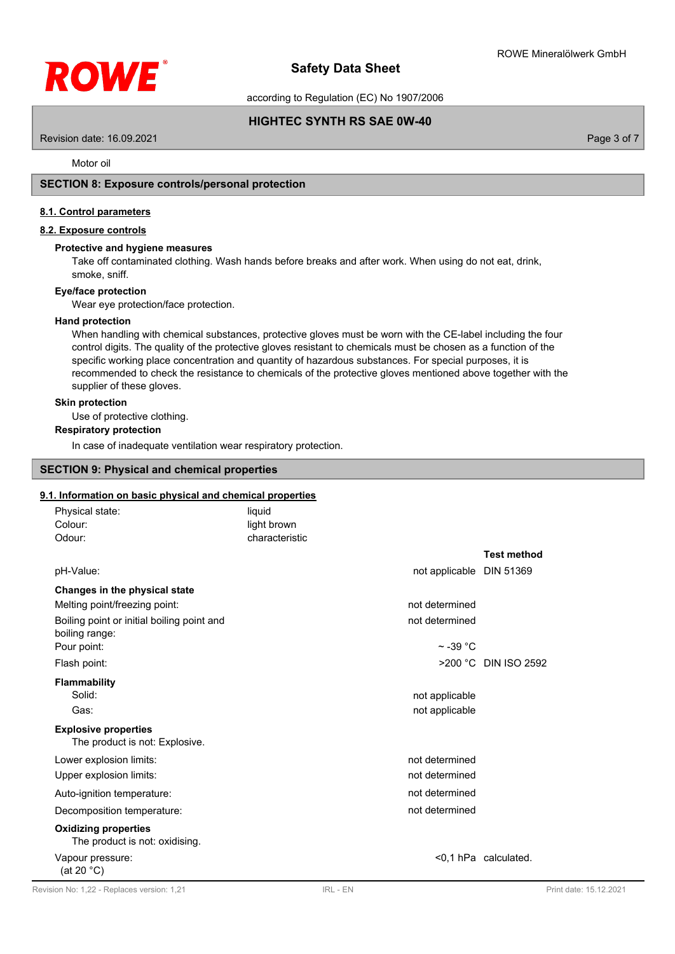

according to Regulation (EC) No 1907/2006

# **HIGHTEC SYNTH RS SAE 0W-40**

Revision date: 16.09.2021 Page 3 of 7

Motor oil

## **SECTION 8: Exposure controls/personal protection**

### **8.1. Control parameters**

### **8.2. Exposure controls**

### **Protective and hygiene measures**

Take off contaminated clothing. Wash hands before breaks and after work. When using do not eat, drink, smoke, sniff.

### **Eye/face protection**

Wear eye protection/face protection.

#### **Hand protection**

When handling with chemical substances, protective gloves must be worn with the CE-label including the four control digits. The quality of the protective gloves resistant to chemicals must be chosen as a function of the specific working place concentration and quantity of hazardous substances. For special purposes, it is recommended to check the resistance to chemicals of the protective gloves mentioned above together with the supplier of these gloves.

## **Skin protection**

Use of protective clothing.

# **Respiratory protection**

In case of inadequate ventilation wear respiratory protection.

# **SECTION 9: Physical and chemical properties**

## **9.1. Information on basic physical and chemical properties**

| Physical state:                                               | liquid         |                          |  |
|---------------------------------------------------------------|----------------|--------------------------|--|
| Colour:                                                       | light brown    |                          |  |
| Odour:                                                        | characteristic |                          |  |
|                                                               |                | <b>Test method</b>       |  |
| pH-Value:                                                     |                | not applicable DIN 51369 |  |
| Changes in the physical state                                 |                |                          |  |
| Melting point/freezing point:                                 | not determined |                          |  |
| Boiling point or initial boiling point and<br>boiling range:  | not determined |                          |  |
| Pour point:                                                   |                | $\sim$ -39 °C            |  |
| Flash point:                                                  |                | >200 °C DIN ISO 2592     |  |
| <b>Flammability</b>                                           |                |                          |  |
| Solid:                                                        | not applicable |                          |  |
| Gas:                                                          | not applicable |                          |  |
| <b>Explosive properties</b><br>The product is not: Explosive. |                |                          |  |
| Lower explosion limits:                                       | not determined |                          |  |
| Upper explosion limits:                                       | not determined |                          |  |
| Auto-ignition temperature:                                    | not determined |                          |  |
| Decomposition temperature:                                    | not determined |                          |  |
| <b>Oxidizing properties</b><br>The product is not: oxidising. |                |                          |  |
| Vapour pressure:<br>(at 20 °C)                                |                | <0,1 hPa calculated.     |  |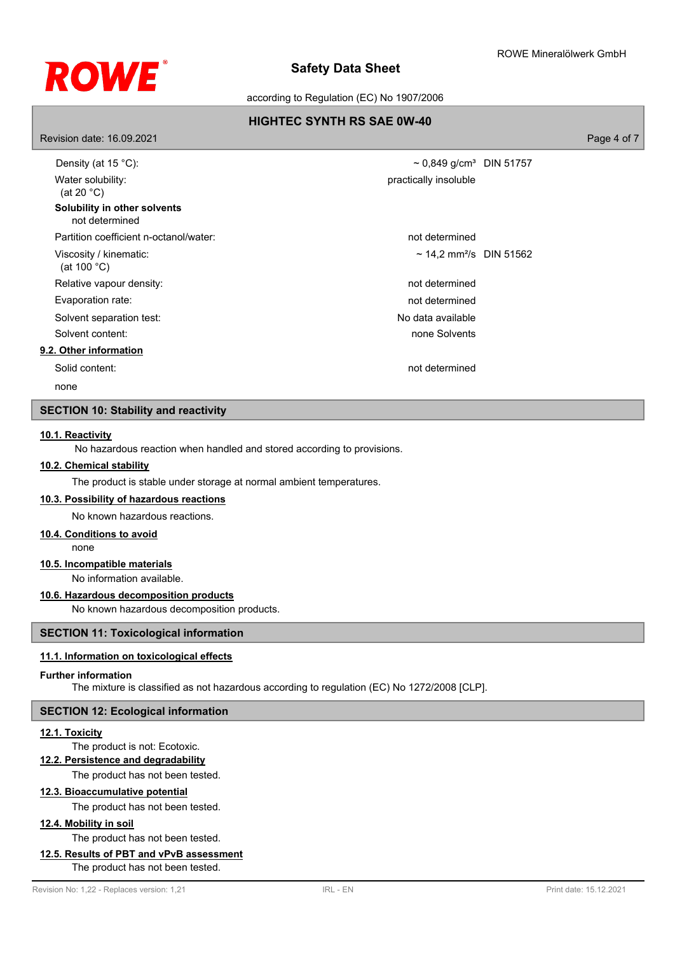

according to Regulation (EC) No 1907/2006

# **HIGHTEC SYNTH RS SAE 0W-40**

Revision date: 16.09.2021 Page 4 of 7 Density (at 15 °C):  $\sim 0.849$  g/cm<sup>3</sup> DIN 51757 Water solubility: (at 20 °C) practically insoluble **Solubility in other solvents** not determined Partition coefficient n-octanol/water: not determined Viscosity / kinematic: (at 100 °C)  $\sim$  14,2 mm<sup>2</sup>/s DIN 51562 Relative vapour density: not determined Evaporation rate: not determined Solvent separation test: No data available Solvent content: none Solvents and Solvents and Solvents and Solvents and Solvents and Solvents and Solvents and Solvents and Solvents and Solvents and Solvents and Solvents and Solvents and Solvents and Solvents and Solve **9.2. Other information** Solid content: not determined

none

# **SECTION 10: Stability and reactivity**

# **10.1. Reactivity**

No hazardous reaction when handled and stored according to provisions.

### **10.2. Chemical stability**

The product is stable under storage at normal ambient temperatures.

# **10.3. Possibility of hazardous reactions**

No known hazardous reactions.

### **10.4. Conditions to avoid**

none

## **10.5. Incompatible materials**

No information available.

# **10.6. Hazardous decomposition products**

No known hazardous decomposition products.

### **SECTION 11: Toxicological information**

## **11.1. Information on toxicological effects**

#### **Further information**

The mixture is classified as not hazardous according to regulation (EC) No 1272/2008 [CLP].

### **SECTION 12: Ecological information**

#### **12.1. Toxicity**

The product is not: Ecotoxic.

# **12.2. Persistence and degradability**

The product has not been tested.

# **12.3. Bioaccumulative potential**

The product has not been tested.

# **12.4. Mobility in soil**

The product has not been tested.

# **12.5. Results of PBT and vPvB assessment**

The product has not been tested.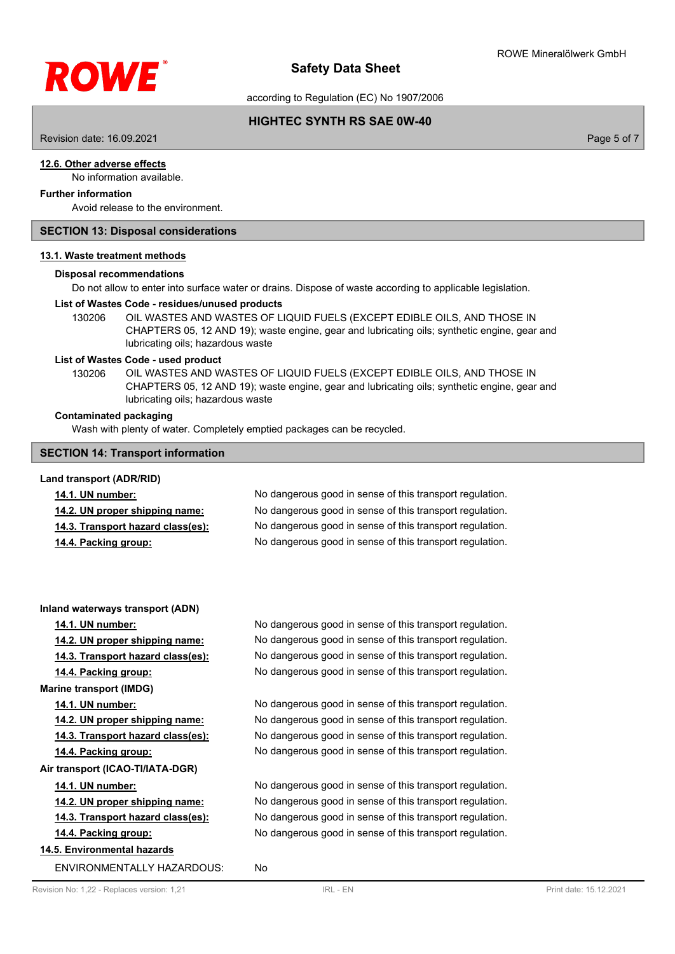

according to Regulation (EC) No 1907/2006

# **HIGHTEC SYNTH RS SAE 0W-40**

Revision date: 16.09.2021 Page 5 of 7

## **12.6. Other adverse effects**

No information available.

# **Further information**

Avoid release to the environment.

### **SECTION 13: Disposal considerations**

#### **13.1. Waste treatment methods**

#### **Disposal recommendations**

Do not allow to enter into surface water or drains. Dispose of waste according to applicable legislation.

#### **List of Wastes Code - residues/unused products**

130206 OIL WASTES AND WASTES OF LIQUID FUELS (EXCEPT EDIBLE OILS, AND THOSE IN CHAPTERS 05, 12 AND 19); waste engine, gear and lubricating oils; synthetic engine, gear and lubricating oils; hazardous waste

### **List of Wastes Code - used product**

OIL WASTES AND WASTES OF LIQUID FUELS (EXCEPT EDIBLE OILS, AND THOSE IN CHAPTERS 05, 12 AND 19); waste engine, gear and lubricating oils; synthetic engine, gear and lubricating oils; hazardous waste 130206

### **Contaminated packaging**

Wash with plenty of water. Completely emptied packages can be recycled.

### **SECTION 14: Transport information**

# **Land transport (ADR/RID) 14.1. UN number:** No dangerous good in sense of this transport regulation. **14.2. UN proper shipping name:** No dangerous good in sense of this transport regulation. **14.3. Transport hazard class(es):** No dangerous good in sense of this transport regulation. **14.4. Packing group:** No dangerous good in sense of this transport regulation.

### **Inland waterways transport (ADN)**

**14.1. UN number:** No dangerous good in sense of this transport regulation.

**14.2. UN proper shipping name:** No dangerous good in sense of this transport regulation.

**14.3. Transport hazard class(es):** No dangerous good in sense of this transport regulation.

**14.4. Packing group:** No dangerous good in sense of this transport regulation.

**Marine transport (IMDG)**

# **14.1. UN number:** No dangerous good in sense of this transport regulation.

**14.2. UN proper shipping name:** No dangerous good in sense of this transport regulation.

**14.3. Transport hazard class(es):** No dangerous good in sense of this transport regulation.

**14.4. Packing group:** No dangerous good in sense of this transport regulation.

**Air transport (ICAO-TI/IATA-DGR)**

### **14.1. UN number:** No dangerous good in sense of this transport regulation.

**14.2. UN proper shipping name:** No dangerous good in sense of this transport regulation.

**14.3. Transport hazard class(es):** No dangerous good in sense of this transport regulation.

**14.4. Packing group:** No dangerous good in sense of this transport regulation.

# **14.5. Environmental hazards**

ENVIRONMENTALLY HAZARDOUS: No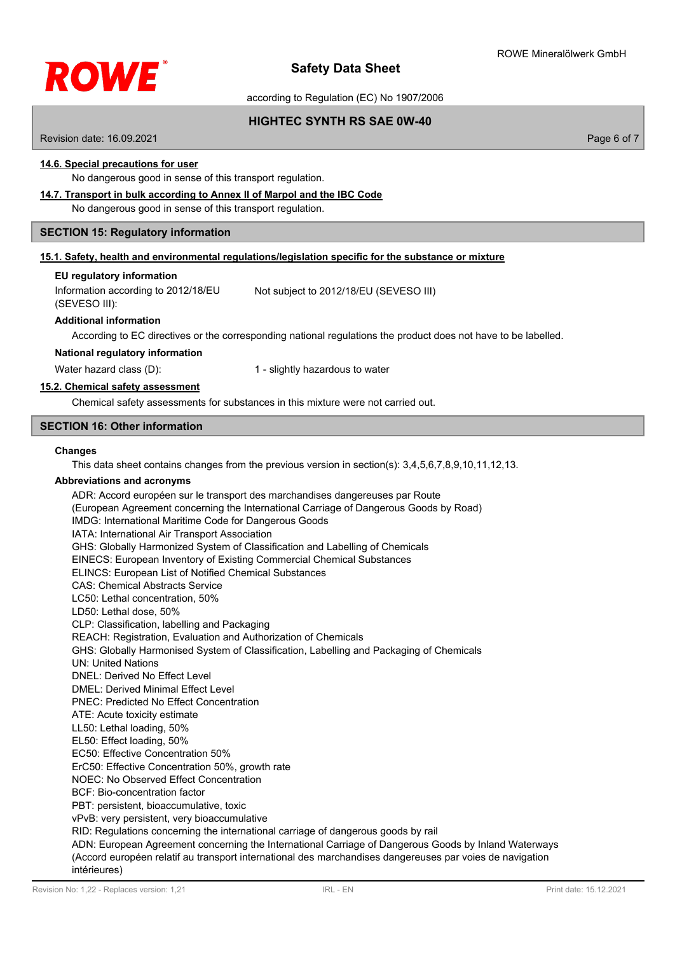

according to Regulation (EC) No 1907/2006

**HIGHTEC SYNTH RS SAE 0W-40**

Revision date: 16.09.2021 **Page 6 of 7** and 2011 **Page 6 of 7** and 2012 **Page 6 of 7** and 2012 **Page 6 of 7** and 2012 **Page 6 of 7** 

# **14.6. Special precautions for user**

No dangerous good in sense of this transport regulation.

# **14.7. Transport in bulk according to Annex II of Marpol and the IBC Code**

No dangerous good in sense of this transport regulation.

### **SECTION 15: Regulatory information**

### **15.1. Safety, health and environmental regulations/legislation specific for the substance or mixture**

### **EU regulatory information**

Information according to 2012/18/EU (SEVESO III): Not subject to 2012/18/EU (SEVESO III)

### **Additional information**

According to EC directives or the corresponding national regulations the product does not have to be labelled.

**National regulatory information**

Water hazard class (D): 1 - slightly hazardous to water

### **15.2. Chemical safety assessment**

Chemical safety assessments for substances in this mixture were not carried out.

### **SECTION 16: Other information**

#### **Changes**

This data sheet contains changes from the previous version in section(s): 3,4,5,6,7,8,9,10,11,12,13.

### **Abbreviations and acronyms**

ADR: Accord européen sur le transport des marchandises dangereuses par Route (European Agreement concerning the International Carriage of Dangerous Goods by Road) IMDG: International Maritime Code for Dangerous Goods IATA: International Air Transport Association GHS: Globally Harmonized System of Classification and Labelling of Chemicals EINECS: European Inventory of Existing Commercial Chemical Substances ELINCS: European List of Notified Chemical Substances CAS: Chemical Abstracts Service LC50: Lethal concentration, 50% LD50: Lethal dose, 50% CLP: Classification, labelling and Packaging REACH: Registration, Evaluation and Authorization of Chemicals GHS: Globally Harmonised System of Classification, Labelling and Packaging of Chemicals UN: United Nations DNEL: Derived No Effect Level DMEL: Derived Minimal Effect Level PNEC: Predicted No Effect Concentration ATE: Acute toxicity estimate LL50: Lethal loading, 50% EL50: Effect loading, 50% EC50: Effective Concentration 50% ErC50: Effective Concentration 50%, growth rate NOEC: No Observed Effect Concentration BCF: Bio-concentration factor PBT: persistent, bioaccumulative, toxic vPvB: very persistent, very bioaccumulative RID: Regulations concerning the international carriage of dangerous goods by rail ADN: European Agreement concerning the International Carriage of Dangerous Goods by Inland Waterways (Accord européen relatif au transport international des marchandises dangereuses par voies de navigation

intérieures)